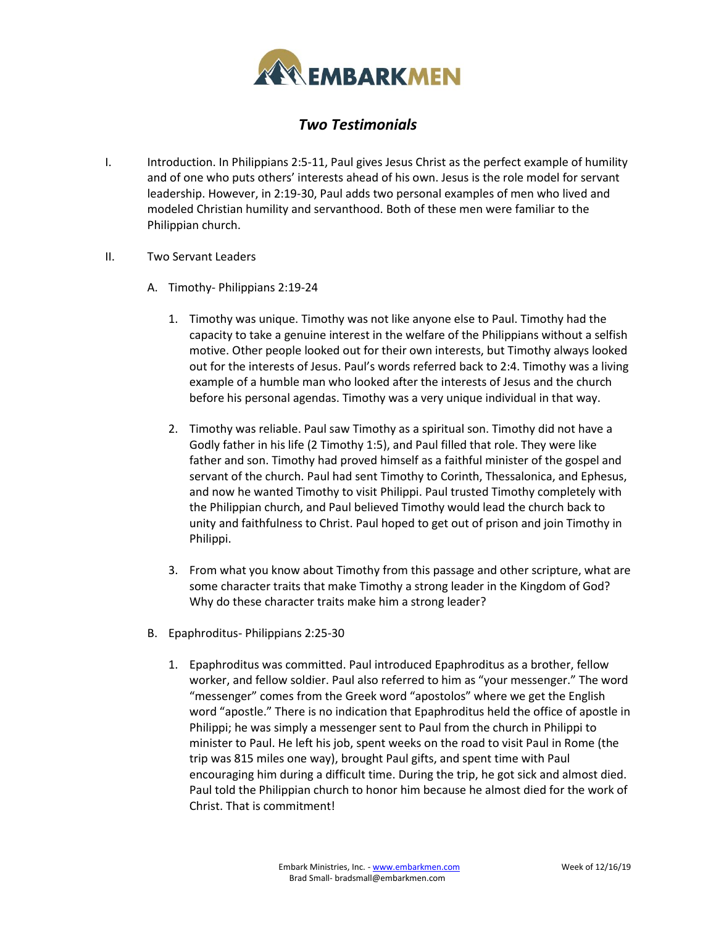

## *Two Testimonials*

- I. Introduction. In Philippians 2:5-11, Paul gives Jesus Christ as the perfect example of humility and of one who puts others' interests ahead of his own. Jesus is the role model for servant leadership. However, in 2:19-30, Paul adds two personal examples of men who lived and modeled Christian humility and servanthood. Both of these men were familiar to the Philippian church.
- II. Two Servant Leaders
	- A. Timothy- Philippians 2:19-24
		- 1. Timothy was unique. Timothy was not like anyone else to Paul. Timothy had the capacity to take a genuine interest in the welfare of the Philippians without a selfish motive. Other people looked out for their own interests, but Timothy always looked out for the interests of Jesus. Paul's words referred back to 2:4. Timothy was a living example of a humble man who looked after the interests of Jesus and the church before his personal agendas. Timothy was a very unique individual in that way.
		- 2. Timothy was reliable. Paul saw Timothy as a spiritual son. Timothy did not have a Godly father in his life (2 Timothy 1:5), and Paul filled that role. They were like father and son. Timothy had proved himself as a faithful minister of the gospel and servant of the church. Paul had sent Timothy to Corinth, Thessalonica, and Ephesus, and now he wanted Timothy to visit Philippi. Paul trusted Timothy completely with the Philippian church, and Paul believed Timothy would lead the church back to unity and faithfulness to Christ. Paul hoped to get out of prison and join Timothy in Philippi.
		- 3. From what you know about Timothy from this passage and other scripture, what are some character traits that make Timothy a strong leader in the Kingdom of God? Why do these character traits make him a strong leader?
	- B. Epaphroditus- Philippians 2:25-30
		- 1. Epaphroditus was committed. Paul introduced Epaphroditus as a brother, fellow worker, and fellow soldier. Paul also referred to him as "your messenger." The word "messenger" comes from the Greek word "apostolos" where we get the English word "apostle." There is no indication that Epaphroditus held the office of apostle in Philippi; he was simply a messenger sent to Paul from the church in Philippi to minister to Paul. He left his job, spent weeks on the road to visit Paul in Rome (the trip was 815 miles one way), brought Paul gifts, and spent time with Paul encouraging him during a difficult time. During the trip, he got sick and almost died. Paul told the Philippian church to honor him because he almost died for the work of Christ. That is commitment!